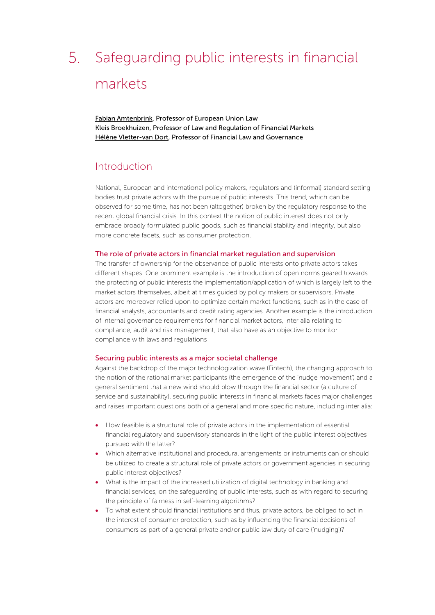# 5. Safeguarding public interests in financial markets

[Fabian Amtenbrink,](https://www.professoramtenbrink.nl/) Professor of European Union Law [Kleis Broekhuizen,](https://www.eur.nl/en/esl/people/kleis-broekhuizen) Professor of Law and Regulation of Financial Markets [Hélène Vletter-van Dort,](https://www.eur.nl/esl/people/helene-vletter-van-dort) Professor of Financial Law and Governance

### Introduction

National, European and international policy makers, regulators and (informal) standard setting bodies trust private actors with the pursue of public interests. This trend, which can be observed for some time, has not been (altogether) broken by the regulatory response to the recent global financial crisis. In this context the notion of public interest does not only embrace broadly formulated public goods, such as financial stability and integrity, but also more concrete facets, such as consumer protection.

#### The role of private actors in financial market regulation and supervision

The transfer of ownership for the observance of public interests onto private actors takes different shapes. One prominent example is the introduction of open norms geared towards the protecting of public interests the implementation/application of which is largely left to the market actors themselves, albeit at times guided by policy makers or supervisors. Private actors are moreover relied upon to optimize certain market functions, such as in the case of financial analysts, accountants and credit rating agencies. Another example is the introduction of internal governance requirements for financial market actors, inter alia relating to compliance, audit and risk management, that also have as an objective to monitor compliance with laws and regulations

#### Securing public interests as a major societal challenge

Against the backdrop of the major technologization wave (Fintech), the changing approach to the notion of the rational market participants (the emergence of the 'nudge movement') and a general sentiment that a new wind should blow through the financial sector (a culture of service and sustainability), securing public interests in financial markets faces major challenges and raises important questions both of a general and more specific nature, including inter alia:

- How feasible is a structural role of private actors in the implementation of essential financial regulatory and supervisory standards in the light of the public interest objectives pursued with the latter?
- Which alternative institutional and procedural arrangements or instruments can or should be utilized to create a structural role of private actors or government agencies in securing public interest objectives?
- What is the impact of the increased utilization of digital technology in banking and financial services, on the safeguarding of public interests, such as with regard to securing the principle of fairness in self-learning algorithms?
- To what extent should financial institutions and thus, private actors, be obliged to act in the interest of consumer protection, such as by influencing the financial decisions of consumers as part of a general private and/or public law duty of care ('nudging')?